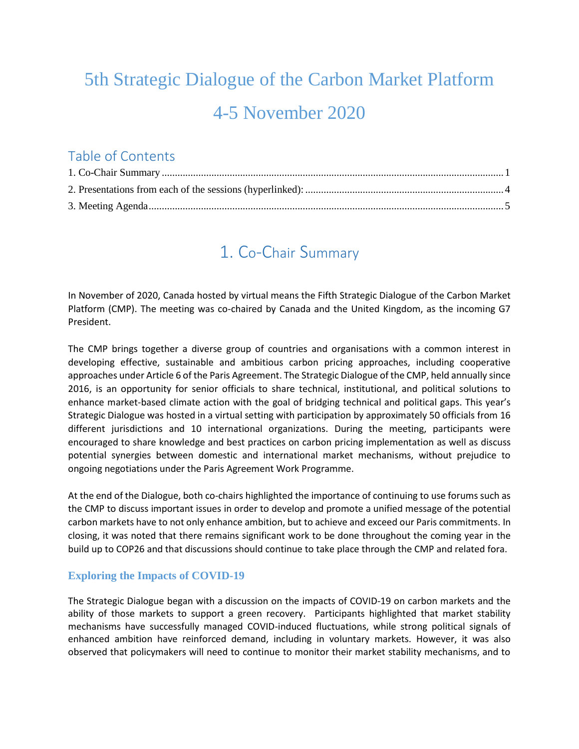# 5th Strategic Dialogue of the Carbon Market Platform 4-5 November 2020

### Table of Contents

### 1. Co-Chair Summary

<span id="page-0-0"></span>In November of 2020, Canada hosted by virtual means the Fifth Strategic Dialogue of the Carbon Market Platform (CMP). The meeting was co-chaired by Canada and the United Kingdom, as the incoming G7 President.

The CMP brings together a diverse group of countries and organisations with a common interest in developing effective, sustainable and ambitious carbon pricing approaches, including cooperative approaches under Article 6 of the Paris Agreement. The Strategic Dialogue of the CMP, held annually since 2016, is an opportunity for senior officials to share technical, institutional, and political solutions to enhance market-based climate action with the goal of bridging technical and political gaps. This year's Strategic Dialogue was hosted in a virtual setting with participation by approximately 50 officials from 16 different jurisdictions and 10 international organizations. During the meeting, participants were encouraged to share knowledge and best practices on carbon pricing implementation as well as discuss potential synergies between domestic and international market mechanisms, without prejudice to ongoing negotiations under the Paris Agreement Work Programme.

At the end of the Dialogue, both co-chairs highlighted the importance of continuing to use forums such as the CMP to discuss important issues in order to develop and promote a unified message of the potential carbon markets have to not only enhance ambition, but to achieve and exceed our Paris commitments. In closing, it was noted that there remains significant work to be done throughout the coming year in the build up to COP26 and that discussions should continue to take place through the CMP and related fora.

#### **Exploring the Impacts of COVID-19**

The Strategic Dialogue began with a discussion on the impacts of COVID-19 on carbon markets and the ability of those markets to support a green recovery. Participants highlighted that market stability mechanisms have successfully managed COVID-induced fluctuations, while strong political signals of enhanced ambition have reinforced demand, including in voluntary markets. However, it was also observed that policymakers will need to continue to monitor their market stability mechanisms, and to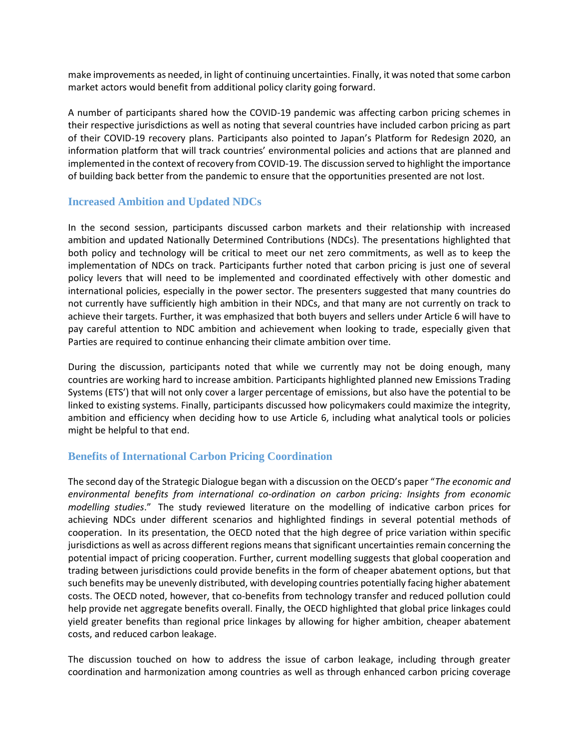make improvements as needed, in light of continuing uncertainties. Finally, it was noted that some carbon market actors would benefit from additional policy clarity going forward.

A number of participants shared how the COVID-19 pandemic was affecting carbon pricing schemes in their respective jurisdictions as well as noting that several countries have included carbon pricing as part of their COVID-19 recovery plans. Participants also pointed to Japan's Platform for Redesign 2020, an information platform that will track countries' environmental policies and actions that are planned and implemented in the context of recovery from COVID-19. The discussion served to highlight the importance of building back better from the pandemic to ensure that the opportunities presented are not lost.

#### **Increased Ambition and Updated NDCs**

In the second session, participants discussed carbon markets and their relationship with increased ambition and updated Nationally Determined Contributions (NDCs). The presentations highlighted that both policy and technology will be critical to meet our net zero commitments, as well as to keep the implementation of NDCs on track. Participants further noted that carbon pricing is just one of several policy levers that will need to be implemented and coordinated effectively with other domestic and international policies, especially in the power sector. The presenters suggested that many countries do not currently have sufficiently high ambition in their NDCs, and that many are not currently on track to achieve their targets. Further, it was emphasized that both buyers and sellers under Article 6 will have to pay careful attention to NDC ambition and achievement when looking to trade, especially given that Parties are required to continue enhancing their climate ambition over time.

During the discussion, participants noted that while we currently may not be doing enough, many countries are working hard to increase ambition. Participants highlighted planned new Emissions Trading Systems (ETS') that will not only cover a larger percentage of emissions, but also have the potential to be linked to existing systems. Finally, participants discussed how policymakers could maximize the integrity, ambition and efficiency when deciding how to use Article 6, including what analytical tools or policies might be helpful to that end.

#### **Benefits of International Carbon Pricing Coordination**

The second day of the Strategic Dialogue began with a discussion on the OECD's paper "*The economic and environmental benefits from international co-ordination on carbon pricing: Insights from economic modelling studies*." The study reviewed literature on the modelling of indicative carbon prices for achieving NDCs under different scenarios and highlighted findings in several potential methods of cooperation. In its presentation, the OECD noted that the high degree of price variation within specific jurisdictions as well as across different regions means that significant uncertainties remain concerning the potential impact of pricing cooperation. Further, current modelling suggests that global cooperation and trading between jurisdictions could provide benefits in the form of cheaper abatement options, but that such benefits may be unevenly distributed, with developing countries potentially facing higher abatement costs. The OECD noted, however, that co-benefits from technology transfer and reduced pollution could help provide net aggregate benefits overall. Finally, the OECD highlighted that global price linkages could yield greater benefits than regional price linkages by allowing for higher ambition, cheaper abatement costs, and reduced carbon leakage.

The discussion touched on how to address the issue of carbon leakage, including through greater coordination and harmonization among countries as well as through enhanced carbon pricing coverage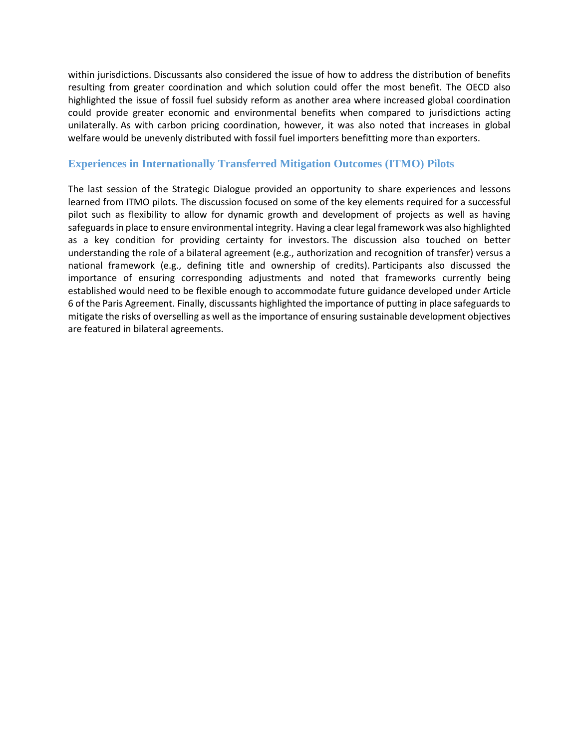within jurisdictions. Discussants also considered the issue of how to address the distribution of benefits resulting from greater coordination and which solution could offer the most benefit. The OECD also highlighted the issue of fossil fuel subsidy reform as another area where increased global coordination could provide greater economic and environmental benefits when compared to jurisdictions acting unilaterally. As with carbon pricing coordination, however, it was also noted that increases in global welfare would be unevenly distributed with fossil fuel importers benefitting more than exporters.

#### **Experiences in Internationally Transferred Mitigation Outcomes (ITMO) Pilots**

The last session of the Strategic Dialogue provided an opportunity to share experiences and lessons learned from ITMO pilots. The discussion focused on some of the key elements required for a successful pilot such as flexibility to allow for dynamic growth and development of projects as well as having safeguards in place to ensure environmental integrity. Having a clear legal framework was also highlighted as a key condition for providing certainty for investors. The discussion also touched on better understanding the role of a bilateral agreement (e.g., authorization and recognition of transfer) versus a national framework (e.g., defining title and ownership of credits). Participants also discussed the importance of ensuring corresponding adjustments and noted that frameworks currently being established would need to be flexible enough to accommodate future guidance developed under Article 6 of the Paris Agreement. Finally, discussants highlighted the importance of putting in place safeguards to mitigate the risks of overselling as well as the importance of ensuring sustainable development objectives are featured in bilateral agreements.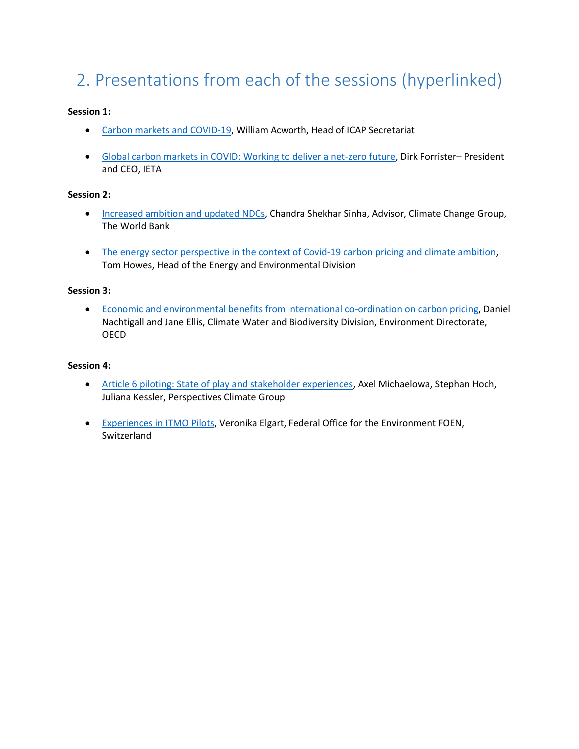## <span id="page-3-0"></span>2. Presentations from each of the sessions (hyperlinked)

#### **Session 1:**

- [Carbon markets and COVID-19,](https://www.slideshare.net/OECD_ENV/carbon-markets-and-covid19-william-acworth-head-of-icap-secretariat-249409519) William Acworth, Head of ICAP Secretariat
- [Global carbon markets in COVID: Working to deliver a net-zero future,](https://www.slideshare.net/OECD_ENV/global-carbon-markets-in-covid-working-to-deliver-a-netzero-future-dirk-forrister-president-and-ceo-ieta) Dirk Forrister– President and CEO, IETA

#### **Session 2:**

- **[Increased ambition and updated NDCs,](https://www.slideshare.net/OECD_ENV/increased-ambition-and-updated-ndcs-chandra-shekhar-sinha-advisor-climate-change-group-the-world-bank) Chandra Shekhar Sinha, Advisor, Climate Change Group,** The World Bank
- The energy sector perspective [in the context of Covid-19 carbon pricing and climate ambition,](https://www.slideshare.net/OECD_ENV/the-energy-sector-perspective-in-the-context-of-covid19-carbon-pricing-and-climate-ambition-tom-howes-head-of-the-energy-and-environmental-division) Tom Howes, Head of the Energy and Environmental Division

#### **Session 3:**

 [Economic and environmental benefits from international co-ordination on carbon pricing,](https://www.slideshare.net/OECD_ENV/economic-and-environmental-benefits-from-international-coordination-on-carbon-pricing-daniel-nachtigall-and-jane-ellis-climate-water-and-biodiversity-division-environment-directorate-oecd) Daniel Nachtigall and Jane Ellis, Climate Water and Biodiversity Division, Environment Directorate, **OECD** 

#### **Session 4:**

- **[Article 6 piloting: State of play and stakeholder experiences,](https://www.slideshare.net/OECD_ENV/article-6-piloting-state-of-play-and-stakeholder-experiences-axel-michaelowa-stephan-hoch-juliana-kessler-perspectives-climate-group) Axel Michaelowa, Stephan Hoch,** Juliana Kessler, Perspectives Climate Group
- [Experiences in ITMO Pilots,](https://www.slideshare.net/OECD_ENV/experiences-in-itmo-pilots-veronika-elgart-federal-office-for-the-environment-foen-switzerland) Veronika Elgart, Federal Office for the Environment FOEN, **Switzerland**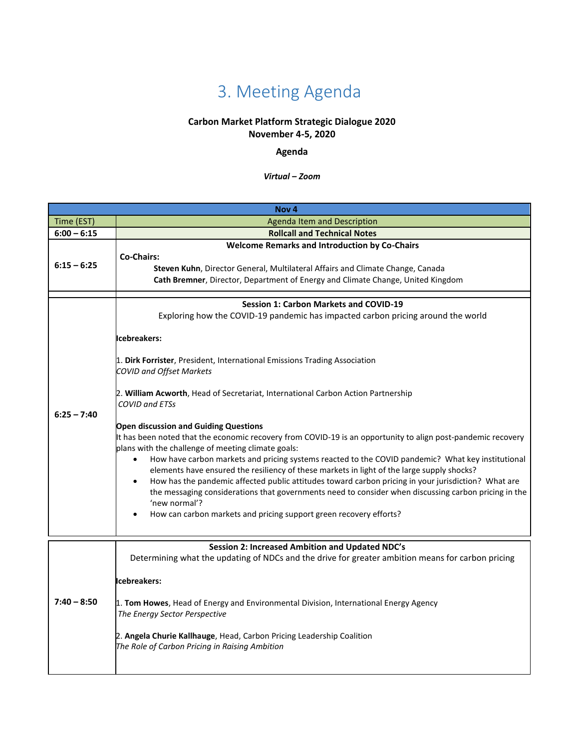## 3. Meeting Agenda

### **Carbon Market Platform Strategic Dialogue 2020**

**November 4-5, 2020**

#### **Agenda**

*Virtual – Zoom*

<span id="page-4-0"></span>

|               | Nov <sub>4</sub>                                                                                                                                                                                                                                                                                                                                                                                                                                                                                                                                                                                                                                                                                                                                                                                                                                                                                                                                                                                                                                                                                              |
|---------------|---------------------------------------------------------------------------------------------------------------------------------------------------------------------------------------------------------------------------------------------------------------------------------------------------------------------------------------------------------------------------------------------------------------------------------------------------------------------------------------------------------------------------------------------------------------------------------------------------------------------------------------------------------------------------------------------------------------------------------------------------------------------------------------------------------------------------------------------------------------------------------------------------------------------------------------------------------------------------------------------------------------------------------------------------------------------------------------------------------------|
| Time (EST)    | <b>Agenda Item and Description</b>                                                                                                                                                                                                                                                                                                                                                                                                                                                                                                                                                                                                                                                                                                                                                                                                                                                                                                                                                                                                                                                                            |
| $6:00 - 6:15$ | <b>Rollcall and Technical Notes</b>                                                                                                                                                                                                                                                                                                                                                                                                                                                                                                                                                                                                                                                                                                                                                                                                                                                                                                                                                                                                                                                                           |
| $6:15 - 6:25$ | <b>Welcome Remarks and Introduction by Co-Chairs</b><br><b>Co-Chairs:</b><br>Steven Kuhn, Director General, Multilateral Affairs and Climate Change, Canada<br>Cath Bremner, Director, Department of Energy and Climate Change, United Kingdom                                                                                                                                                                                                                                                                                                                                                                                                                                                                                                                                                                                                                                                                                                                                                                                                                                                                |
| $6:25 - 7:40$ | <b>Session 1: Carbon Markets and COVID-19</b><br>Exploring how the COVID-19 pandemic has impacted carbon pricing around the world<br>Icebreakers:<br>1. Dirk Forrister, President, International Emissions Trading Association<br><b>COVID and Offset Markets</b><br>2. William Acworth, Head of Secretariat, International Carbon Action Partnership<br><b>COVID and ETSs</b><br><b>Open discussion and Guiding Questions</b><br>It has been noted that the economic recovery from COVID-19 is an opportunity to align post-pandemic recovery<br>plans with the challenge of meeting climate goals:<br>How have carbon markets and pricing systems reacted to the COVID pandemic? What key institutional<br>elements have ensured the resiliency of these markets in light of the large supply shocks?<br>How has the pandemic affected public attitudes toward carbon pricing in your jurisdiction? What are<br>the messaging considerations that governments need to consider when discussing carbon pricing in the<br>'new normal'?<br>How can carbon markets and pricing support green recovery efforts? |
| $7:40 - 8:50$ | Session 2: Increased Ambition and Updated NDC's<br>Determining what the updating of NDCs and the drive for greater ambition means for carbon pricing<br>Icebreakers:<br>1. Tom Howes, Head of Energy and Environmental Division, International Energy Agency<br>The Energy Sector Perspective<br>2. Angela Churie Kallhauge, Head, Carbon Pricing Leadership Coalition<br>The Role of Carbon Pricing in Raising Ambition                                                                                                                                                                                                                                                                                                                                                                                                                                                                                                                                                                                                                                                                                      |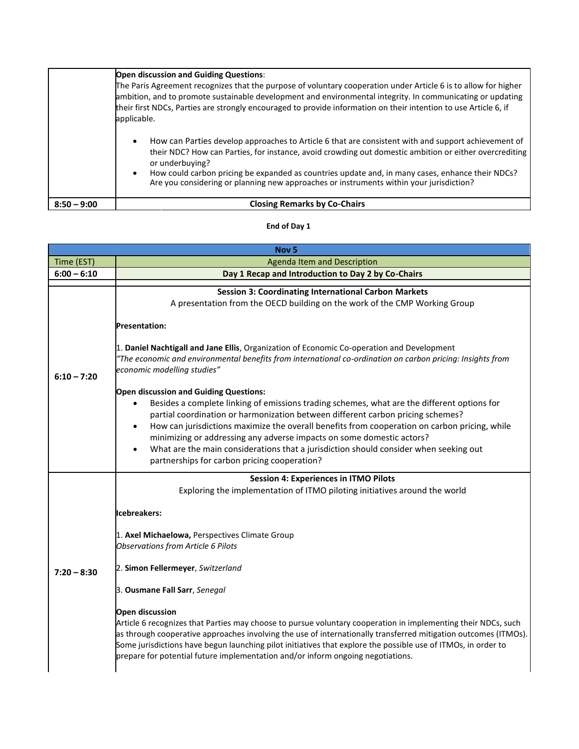|               | Open discussion and Guiding Questions:<br>The Paris Agreement recognizes that the purpose of voluntary cooperation under Article 6 is to allow for higher<br>ambition, and to promote sustainable development and environmental integrity. In communicating or updating<br>their first NDCs, Parties are strongly encouraged to provide information on their intention to use Article 6, if<br>applicable.                                                |
|---------------|-----------------------------------------------------------------------------------------------------------------------------------------------------------------------------------------------------------------------------------------------------------------------------------------------------------------------------------------------------------------------------------------------------------------------------------------------------------|
|               | How can Parties develop approaches to Article 6 that are consistent with and support achievement of<br>$\bullet$<br>their NDC? How can Parties, for instance, avoid crowding out domestic ambition or either overcrediting<br>or underbuying?<br>How could carbon pricing be expanded as countries update and, in many cases, enhance their NDCs?<br>$\bullet$<br>Are you considering or planning new approaches or instruments within your jurisdiction? |
| $8:50 - 9:00$ | <b>Closing Remarks by Co-Chairs</b>                                                                                                                                                                                                                                                                                                                                                                                                                       |

#### **End of Day 1**

| Nov <sub>5</sub> |                                                                                                                                                                                                                                                                                                                                                                                                                                                                                                                                                                                                                                                                                                                                                                                   |  |  |  |
|------------------|-----------------------------------------------------------------------------------------------------------------------------------------------------------------------------------------------------------------------------------------------------------------------------------------------------------------------------------------------------------------------------------------------------------------------------------------------------------------------------------------------------------------------------------------------------------------------------------------------------------------------------------------------------------------------------------------------------------------------------------------------------------------------------------|--|--|--|
| Time (EST)       | Agenda Item and Description                                                                                                                                                                                                                                                                                                                                                                                                                                                                                                                                                                                                                                                                                                                                                       |  |  |  |
| $6:00 - 6:10$    | Day 1 Recap and Introduction to Day 2 by Co-Chairs                                                                                                                                                                                                                                                                                                                                                                                                                                                                                                                                                                                                                                                                                                                                |  |  |  |
|                  | <b>Session 3: Coordinating International Carbon Markets</b><br>A presentation from the OECD building on the work of the CMP Working Group<br><b>Presentation:</b>                                                                                                                                                                                                                                                                                                                                                                                                                                                                                                                                                                                                                 |  |  |  |
| $6:10 - 7:20$    | 1. Daniel Nachtigall and Jane Ellis, Organization of Economic Co-operation and Development<br>"The economic and environmental benefits from international co-ordination on carbon pricing: Insights from<br>economic modelling studies"                                                                                                                                                                                                                                                                                                                                                                                                                                                                                                                                           |  |  |  |
|                  | <b>Open discussion and Guiding Questions:</b><br>Besides a complete linking of emissions trading schemes, what are the different options for<br>$\bullet$<br>partial coordination or harmonization between different carbon pricing schemes?<br>How can jurisdictions maximize the overall benefits from cooperation on carbon pricing, while<br>$\bullet$<br>minimizing or addressing any adverse impacts on some domestic actors?<br>What are the main considerations that a jurisdiction should consider when seeking out<br>$\bullet$<br>partnerships for carbon pricing cooperation?                                                                                                                                                                                         |  |  |  |
| $7:20 - 8:30$    | <b>Session 4: Experiences in ITMO Pilots</b><br>Exploring the implementation of ITMO piloting initiatives around the world<br>Icebreakers:<br>1. Axel Michaelowa, Perspectives Climate Group<br><b>Observations from Article 6 Pilots</b><br>2. Simon Fellermeyer, Switzerland<br>3. Ousmane Fall Sarr, Senegal<br><b>Open discussion</b><br>Article 6 recognizes that Parties may choose to pursue voluntary cooperation in implementing their NDCs, such<br>as through cooperative approaches involving the use of internationally transferred mitigation outcomes (ITMOs).<br>Some jurisdictions have begun launching pilot initiatives that explore the possible use of ITMOs, in order to<br>prepare for potential future implementation and/or inform ongoing negotiations. |  |  |  |